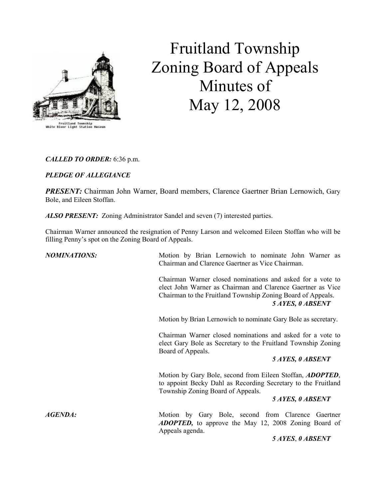

Fruitland Township Zoning Board of Appeals Minutes of May 12, 2008

CALLED TO ORDER: 6:36 p.m.

# PLEDGE OF ALLEGIANCE

PRESENT: Chairman John Warner, Board members, Clarence Gaertner Brian Lernowich, Gary Bole, and Eileen Stoffan.

ALSO PRESENT: Zoning Administrator Sandel and seven (7) interested parties.

Chairman Warner announced the resignation of Penny Larson and welcomed Eileen Stoffan who will be filling Penny's spot on the Zoning Board of Appeals.

| <b>NOMINATIONS:</b> | Motion by Brian Lernowich to nominate John Warner as<br>Chairman and Clarence Gaertner as Vice Chairman.                                                                                                     |
|---------------------|--------------------------------------------------------------------------------------------------------------------------------------------------------------------------------------------------------------|
|                     | Chairman Warner closed nominations and asked for a vote to<br>elect John Warner as Chairman and Clarence Gaertner as Vice<br>Chairman to the Fruitland Township Zoning Board of Appeals.<br>5 AYES, 0 ABSENT |
|                     | Motion by Brian Lernowich to nominate Gary Bole as secretary.                                                                                                                                                |
|                     | Chairman Warner closed nominations and asked for a vote to<br>elect Gary Bole as Secretary to the Fruitland Township Zoning<br>Board of Appeals.                                                             |
|                     | 5 AYES, 0 ABSENT                                                                                                                                                                                             |
|                     | Motion by Gary Bole, second from Eileen Stoffan, ADOPTED,<br>to appoint Becky Dahl as Recording Secretary to the Fruitland<br>Township Zoning Board of Appeals.                                              |
|                     | 5 AYES, 0 ABSENT                                                                                                                                                                                             |
| <b>AGENDA:</b>      | Motion by Gary Bole, second from Clarence Gaertner<br><b>ADOPTED,</b> to approve the May 12, 2008 Zoning Board of<br>Appeals agenda.                                                                         |
|                     | 5 AYES, 0 ABSENT                                                                                                                                                                                             |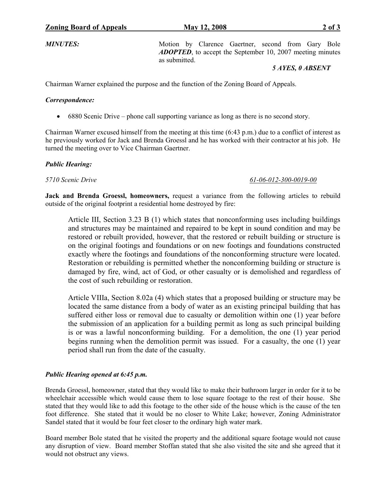MINUTES: Motion by Clarence Gaertner, second from Gary Bole ADOPTED, to accept the September 10, 2007 meeting minutes as submitted.

#### 5 AYES, 0 ABSENT

Chairman Warner explained the purpose and the function of the Zoning Board of Appeals.

#### Correspondence:

• 6880 Scenic Drive – phone call supporting variance as long as there is no second story.

Chairman Warner excused himself from the meeting at this time (6:43 p.m.) due to a conflict of interest as he previously worked for Jack and Brenda Groessl and he has worked with their contractor at his job. He turned the meeting over to Vice Chairman Gaertner.

## Public Hearing:

#### 5710 Scenic Drive 61-06-012-300-0019-00

Jack and Brenda Groessl, homeowners, request a variance from the following articles to rebuild outside of the original footprint a residential home destroyed by fire:

Article III, Section 3.23 B (1) which states that nonconforming uses including buildings and structures may be maintained and repaired to be kept in sound condition and may be restored or rebuilt provided, however, that the restored or rebuilt building or structure is on the original footings and foundations or on new footings and foundations constructed exactly where the footings and foundations of the nonconforming structure were located. Restoration or rebuilding is permitted whether the nonconforming building or structure is damaged by fire, wind, act of God, or other casualty or is demolished and regardless of the cost of such rebuilding or restoration.

Article VIIIa, Section 8.02a (4) which states that a proposed building or structure may be located the same distance from a body of water as an existing principal building that has suffered either loss or removal due to casualty or demolition within one (1) year before the submission of an application for a building permit as long as such principal building is or was a lawful nonconforming building. For a demolition, the one (1) year period begins running when the demolition permit was issued. For a casualty, the one (1) year period shall run from the date of the casualty.

## Public Hearing opened at 6:45 p.m.

Brenda Groessl, homeowner, stated that they would like to make their bathroom larger in order for it to be wheelchair accessible which would cause them to lose square footage to the rest of their house. She stated that they would like to add this footage to the other side of the house which is the cause of the ten foot difference. She stated that it would be no closer to White Lake; however, Zoning Administrator Sandel stated that it would be four feet closer to the ordinary high water mark.

Board member Bole stated that he visited the property and the additional square footage would not cause any disruption of view. Board member Stoffan stated that she also visited the site and she agreed that it would not obstruct any views.